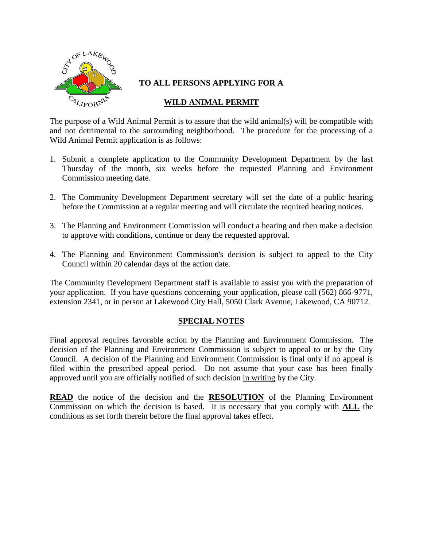

## **TO ALL PERSONS APPLYING FOR A**

# **WILD ANIMAL PERMIT**

The purpose of a Wild Animal Permit is to assure that the wild animal(s) will be compatible with and not detrimental to the surrounding neighborhood. The procedure for the processing of a Wild Animal Permit application is as follows:

- 1. Submit a complete application to the Community Development Department by the last Thursday of the month, six weeks before the requested Planning and Environment Commission meeting date.
- 2. The Community Development Department secretary will set the date of a public hearing before the Commission at a regular meeting and will circulate the required hearing notices.
- 3. The Planning and Environment Commission will conduct a hearing and then make a decision to approve with conditions, continue or deny the requested approval.
- 4. The Planning and Environment Commission's decision is subject to appeal to the City Council within 20 calendar days of the action date.

The Community Development Department staff is available to assist you with the preparation of your application. If you have questions concerning your application, please call (562) 866-9771, extension 2341, or in person at Lakewood City Hall, 5050 Clark Avenue, Lakewood, CA 90712.

## **SPECIAL NOTES**

Final approval requires favorable action by the Planning and Environment Commission. The decision of the Planning and Environment Commission is subject to appeal to or by the City Council. A decision of the Planning and Environment Commission is final only if no appeal is filed within the prescribed appeal period. Do not assume that your case has been finally approved until you are officially notified of such decision in writing by the City.

**READ** the notice of the decision and the **RESOLUTION** of the Planning Environment Commission on which the decision is based. It is necessary that you comply with **ALL** the conditions as set forth therein before the final approval takes effect.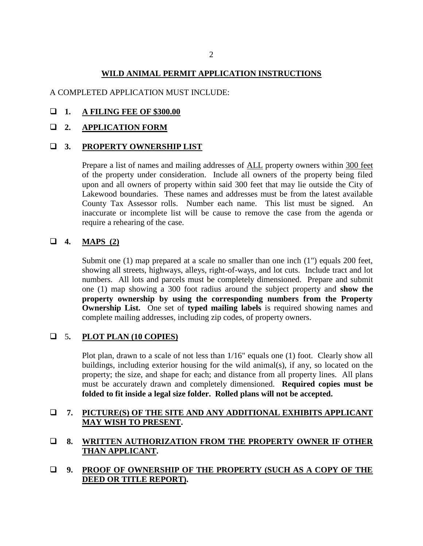### **WILD ANIMAL PERMIT APPLICATION INSTRUCTIONS**

#### A COMPLETED APPLICATION MUST INCLUDE:

#### **1. A FILING FEE OF \$300.00**

#### **2. APPLICATION FORM**

#### **3. PROPERTY OWNERSHIP LIST**

Prepare a list of names and mailing addresses of ALL property owners within 300 feet of the property under consideration. Include all owners of the property being filed upon and all owners of property within said 300 feet that may lie outside the City of Lakewood boundaries. These names and addresses must be from the latest available County Tax Assessor rolls. Number each name. This list must be signed. An inaccurate or incomplete list will be cause to remove the case from the agenda or require a rehearing of the case.

## **4. MAPS (2)**

Submit one (1) map prepared at a scale no smaller than one inch (1") equals 200 feet, showing all streets, highways, alleys, right-of-ways, and lot cuts. Include tract and lot numbers. All lots and parcels must be completely dimensioned. Prepare and submit one (1) map showing a 300 foot radius around the subject property and **show the property ownership by using the corresponding numbers from the Property Ownership List.** One set of **typed mailing labels** is required showing names and complete mailing addresses, including zip codes, of property owners.

#### 5**. PLOT PLAN (10 COPIES)**

Plot plan, drawn to a scale of not less than 1/16" equals one (1) foot. Clearly show all buildings, including exterior housing for the wild animal(s), if any, so located on the property; the size, and shape for each; and distance from all property lines. All plans must be accurately drawn and completely dimensioned. **Required copies must be folded to fit inside a legal size folder. Rolled plans will not be accepted.**

## **7. PICTURE(S) OF THE SITE AND ANY ADDITIONAL EXHIBITS APPLICANT MAY WISH TO PRESENT.**

## **8. WRITTEN AUTHORIZATION FROM THE PROPERTY OWNER IF OTHER THAN APPLICANT.**

## **9. PROOF OF OWNERSHIP OF THE PROPERTY (SUCH AS A COPY OF THE DEED OR TITLE REPORT).**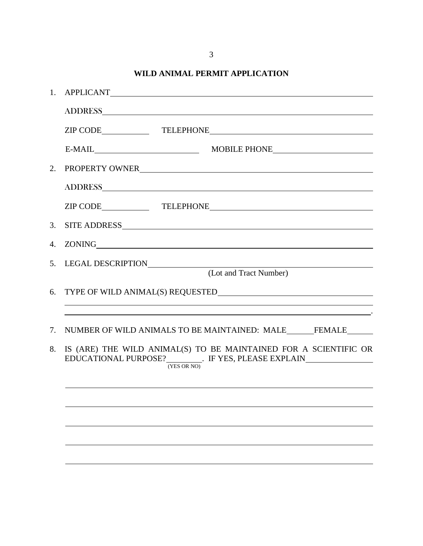3

# **WILD ANIMAL PERMIT APPLICATION**

| 1. |                                                                                                                                                                                                                                |
|----|--------------------------------------------------------------------------------------------------------------------------------------------------------------------------------------------------------------------------------|
|    | ADDRESS AND AREA AND RESIDENCE AND ARRAIGNMENT CONTROL OF THE SECOND CONTROL OF THE SECOND CONTROL OF THE SECOND CONTROL OF THE SECOND CONTROL OF THE SECOND CONTROL OF THE SECOND CONTROL OF THE SECOND CONTROL OF THE SECOND |
|    |                                                                                                                                                                                                                                |
|    | E-MAIL MOBILE PHONE                                                                                                                                                                                                            |
|    | 2. PROPERTY OWNER                                                                                                                                                                                                              |
|    | ADDRESS AND ARRIVE AND THE SERVICE OF THE SERVICE OF THE SERVICE OF THE SERVICE OF THE SERVICE OF THE SERVICE OF THE SERVICE OF THE SERVICE OF THE SERVICE OF THE SERVICE OF THE SERVICE OF THE SERVICE OF THE SERVICE OF THE  |
|    |                                                                                                                                                                                                                                |
|    | 3. SITE ADDRESS                                                                                                                                                                                                                |
|    | 4. ZONING                                                                                                                                                                                                                      |
|    | 5. LEGAL DESCRIPTION<br>(Lot and Tract Number)                                                                                                                                                                                 |
|    |                                                                                                                                                                                                                                |
|    |                                                                                                                                                                                                                                |
|    |                                                                                                                                                                                                                                |
| 7. | NUMBER OF WILD ANIMALS TO BE MAINTAINED: MALE FEMALE                                                                                                                                                                           |
| 8. | IS (ARE) THE WILD ANIMAL(S) TO BE MAINTAINED FOR A SCIENTIFIC OR<br>EDUCATIONAL PURPOSE? $\frac{1}{(YES \ OR \ NO)}$ . IF YES, PLEASE EXPLAIN                                                                                  |
|    |                                                                                                                                                                                                                                |
|    |                                                                                                                                                                                                                                |
|    |                                                                                                                                                                                                                                |
|    |                                                                                                                                                                                                                                |
|    |                                                                                                                                                                                                                                |
|    |                                                                                                                                                                                                                                |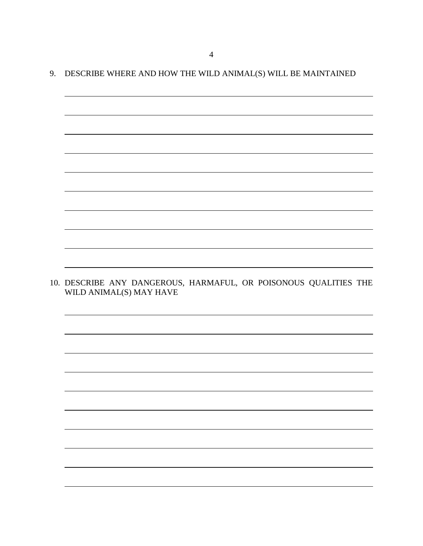# 9. DESCRIBE WHERE AND HOW THE WILD ANIMAL(S) WILL BE MAINTAINED

10. DESCRIBE ANY DANGEROUS, HARMAFUL, OR POISONOUS QUALITIES THE WILD ANIMAL(S) MAY HAVE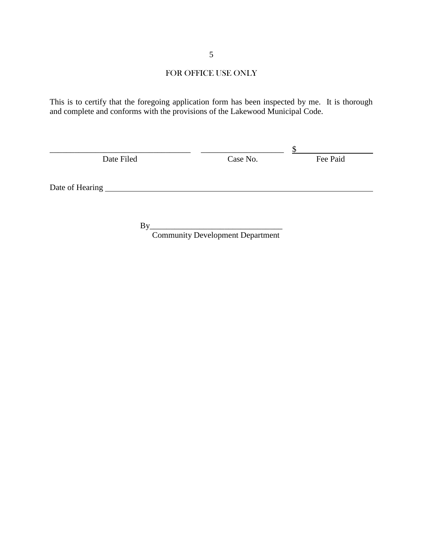# FOR OFFICE USE ONLY

This is to certify that the foregoing application form has been inspected by me. It is thorough and complete and conforms with the provisions of the Lakewood Municipal Code.

| Date Filed      | Case No. | Fee Paid |
|-----------------|----------|----------|
|                 |          |          |
|                 |          |          |
| Date of Hearing |          |          |
|                 |          |          |

By\_\_\_\_\_\_\_\_\_\_\_\_\_\_\_\_\_\_\_\_\_\_\_\_\_\_\_\_\_\_\_\_

Community Development Department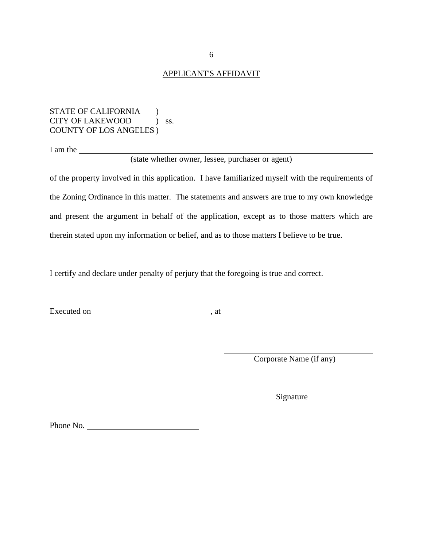#### APPLICANT'S AFFIDAVIT

#### STATE OF CALIFORNIA (1) CITY OF LAKEWOOD ) ss. COUNTY OF LOS ANGELES )

I am the

(state whether owner, lessee, purchaser or agent)

of the property involved in this application. I have familiarized myself with the requirements of the Zoning Ordinance in this matter. The statements and answers are true to my own knowledge and present the argument in behalf of the application, except as to those matters which are therein stated upon my information or belief, and as to those matters I believe to be true.

I certify and declare under penalty of perjury that the foregoing is true and correct.

Executed on , at

Corporate Name (if any)

Signature

Phone No.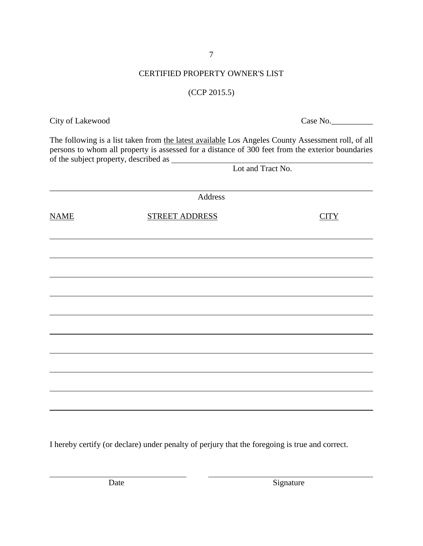7

# CERTIFIED PROPERTY OWNER'S LIST

# (CCP 2015.5)

The following is a list taken from the latest available Los Angeles County Assessment roll, of all persons to whom all property is assessed for a distance of 300 feet from the exterior boundaries of the subject property, described as Lot and Tract No.

|             | Address               |             |
|-------------|-----------------------|-------------|
| <b>NAME</b> | <b>STREET ADDRESS</b> | <b>CITY</b> |
|             |                       |             |
|             |                       |             |
|             |                       |             |
|             |                       |             |
|             |                       |             |
|             |                       |             |
|             |                       |             |
|             |                       |             |
|             |                       |             |
|             |                       |             |

I hereby certify (or declare) under penalty of perjury that the foregoing is true and correct.

City of Lakewood Case No.